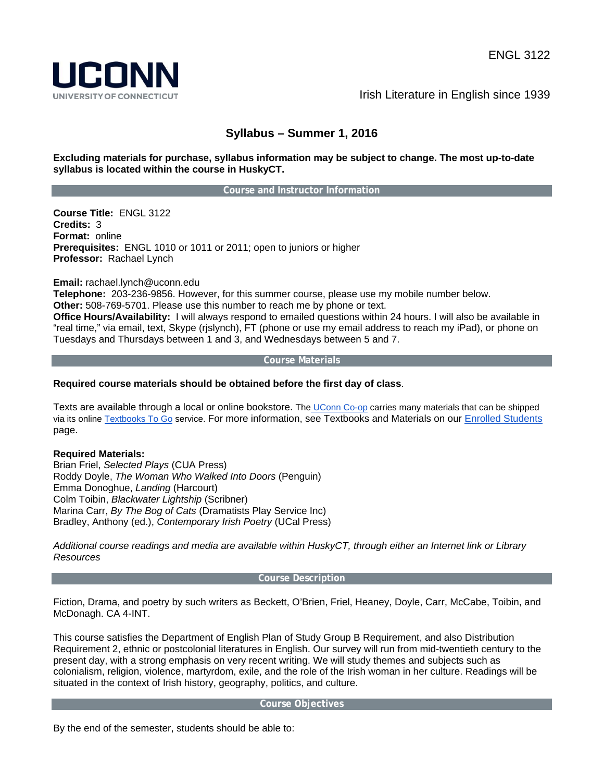

Irish Literature in English since 1939

# **Syllabus – Summer 1, 2016**

# **Excluding materials for purchase, syllabus information may be subject to change. The most up-to-date syllabus is located within the course in HuskyCT.**

#### **Course and Instructor Information**

**Course Title:** ENGL 3122 **Credits:** 3 **Format:** online **Prerequisites:** ENGL 1010 or 1011 or 2011; open to juniors or higher **Professor:** Rachael Lynch

**Email:** rachael.lynch@uconn.edu

**Telephone:** 203-236-9856. However, for this summer course, please use my mobile number below.

**Other:** 508-769-5701. Please use this number to reach me by phone or text.

**Office Hours/Availability:** I will always respond to emailed questions within 24 hours. I will also be available in "real time," via email, text, Skype (rjslynch), FT (phone or use my email address to reach my iPad), or phone on Tuesdays and Thursdays between 1 and 3, and Wednesdays between 5 and 7.

#### **Course Materials**

# **Required course materials should be obtained before the first day of class**.

Texts are available through a local or online bookstore. The UConn Co-op carries many materials that can be shipped via its online Textbooks To Go service. For more information, see Textbooks and Materials on our Enrolled Students page.

# **Required Materials:**

Brian Friel, *Selected Plays* (CUA Press) Roddy Doyle, *The Woman Who Walked Into Doors* (Penguin) Emma Donoghue, *Landing* (Harcourt) Colm Toibin, *Blackwater Lightship* (Scribner) Marina Carr, *By The Bog of Cats* (Dramatists Play Service Inc) Bradley, Anthony (ed.), *Contemporary Irish Poetry* (UCal Press)

*Additional course readings and media are available within HuskyCT, through either an Internet link or Library Resources* 

#### **Course Description**

Fiction, Drama, and poetry by such writers as Beckett, O'Brien, Friel, Heaney, Doyle, Carr, McCabe, Toibin, and McDonagh. CA 4-INT.

This course satisfies the Department of English Plan of Study Group B Requirement, and also Distribution Requirement 2, ethnic or postcolonial literatures in English. Our survey will run from mid-twentieth century to the present day, with a strong emphasis on very recent writing. We will study themes and subjects such as colonialism, religion, violence, martyrdom, exile, and the role of the Irish woman in her culture. Readings will be situated in the context of Irish history, geography, politics, and culture.

#### **Course Objectives**

By the end of the semester, students should be able to: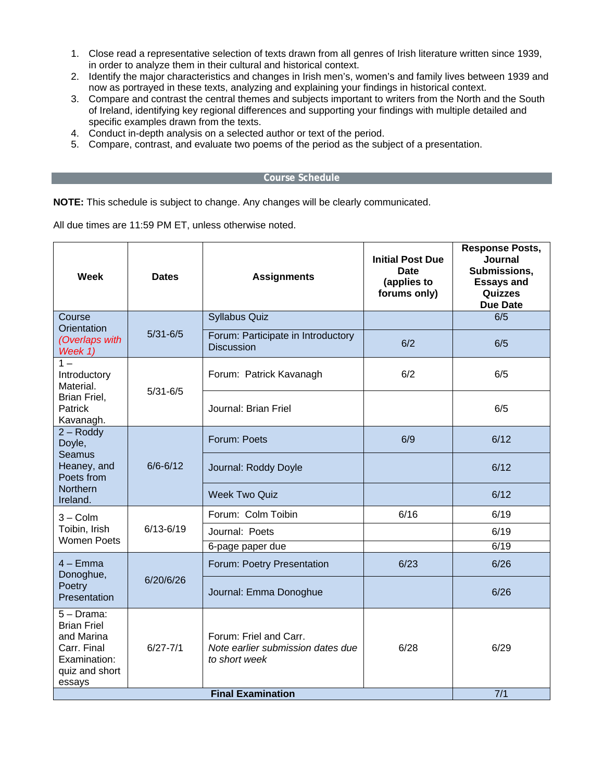- 1. Close read a representative selection of texts drawn from all genres of Irish literature written since 1939, in order to analyze them in their cultural and historical context.
- 2. Identify the major characteristics and changes in Irish men's, women's and family lives between 1939 and now as portrayed in these texts, analyzing and explaining your findings in historical context.
- 3. Compare and contrast the central themes and subjects important to writers from the North and the South of Ireland, identifying key regional differences and supporting your findings with multiple detailed and specific examples drawn from the texts.
- 4. Conduct in-depth analysis on a selected author or text of the period.
- 5. Compare, contrast, and evaluate two poems of the period as the subject of a presentation.

#### **Course Schedule**

**NOTE:** This schedule is subject to change. Any changes will be clearly communicated.

All due times are 11:59 PM ET, unless otherwise noted.

| <b>Week</b>                                                                                                  | <b>Dates</b>  | <b>Assignments</b>                                                                                       | <b>Initial Post Due</b><br><b>Date</b><br>(applies to<br>forums only) | <b>Response Posts,</b><br>Journal<br>Submissions,<br><b>Essays and</b><br>Quizzes<br><b>Due Date</b> |
|--------------------------------------------------------------------------------------------------------------|---------------|----------------------------------------------------------------------------------------------------------|-----------------------------------------------------------------------|------------------------------------------------------------------------------------------------------|
| Course<br>Orientation<br>(Overlaps with<br>Week 1)                                                           | $5/31 - 6/5$  | <b>Syllabus Quiz</b>                                                                                     |                                                                       | 6/5                                                                                                  |
|                                                                                                              |               | Forum: Participate in Introductory<br><b>Discussion</b>                                                  | 6/2                                                                   | 6/5                                                                                                  |
| $1 -$<br>Introductory<br>Material.<br>Brian Friel,<br>Patrick<br>Kavanagh.                                   | $5/31 - 6/5$  | Forum: Patrick Kavanagh                                                                                  | 6/2                                                                   | 6/5                                                                                                  |
|                                                                                                              |               | Journal: Brian Friel                                                                                     |                                                                       | 6/5                                                                                                  |
| $2 -$ Roddy<br>Doyle,<br><b>Seamus</b><br>Heaney, and<br>Poets from<br><b>Northern</b><br>Ireland.           | $6/6 - 6/12$  | Forum: Poets                                                                                             | 6/9                                                                   | 6/12                                                                                                 |
|                                                                                                              |               | Journal: Roddy Doyle                                                                                     |                                                                       | 6/12                                                                                                 |
|                                                                                                              |               | <b>Week Two Quiz</b>                                                                                     |                                                                       | 6/12                                                                                                 |
| $3 -$ Colm<br>Toibin, Irish<br><b>Women Poets</b>                                                            | $6/13 - 6/19$ | Forum: Colm Toibin                                                                                       | 6/16                                                                  | 6/19                                                                                                 |
|                                                                                                              |               | Journal: Poets                                                                                           |                                                                       | 6/19                                                                                                 |
|                                                                                                              |               | 6-page paper due                                                                                         |                                                                       | 6/19                                                                                                 |
| $4 - Emma$<br>Donoghue,<br>Poetry<br>Presentation                                                            | 6/20/6/26     | Forum: Poetry Presentation                                                                               | 6/23                                                                  | 6/26                                                                                                 |
|                                                                                                              |               | Journal: Emma Donoghue                                                                                   |                                                                       | 6/26                                                                                                 |
| $5 - Drama$ :<br><b>Brian Friel</b><br>and Marina<br>Carr. Final<br>Examination:<br>quiz and short<br>essays | $6/27 - 7/1$  | Forum: Friel and Carr.<br>Note earlier submission dates due<br>to short week<br><b>Final Examination</b> | 6/28                                                                  | 6/29                                                                                                 |
|                                                                                                              | 7/1           |                                                                                                          |                                                                       |                                                                                                      |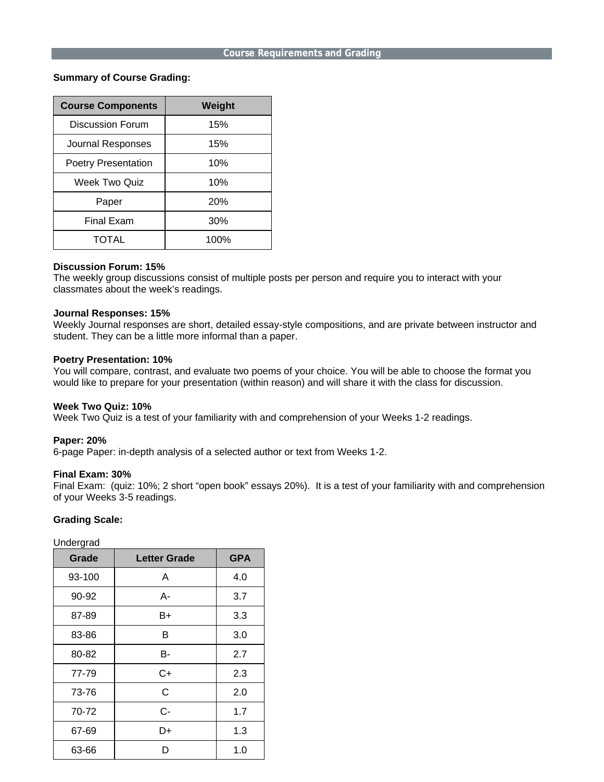#### **Course Requirements and Grading**

# **Summary of Course Grading:**

| <b>Course Components</b>   | Weight     |  |
|----------------------------|------------|--|
| Discussion Forum           | 15%        |  |
| Journal Responses          | 15%        |  |
| <b>Poetry Presentation</b> | 10%        |  |
| Week Two Quiz              | 10%        |  |
| Paper                      | <b>20%</b> |  |
| Final Exam                 | 30%        |  |
| TOTAL                      | 100%       |  |

# **Discussion Forum: 15%**

The weekly group discussions consist of multiple posts per person and require you to interact with your classmates about the week's readings.

#### **Journal Responses: 15%**

Weekly Journal responses are short, detailed essay-style compositions, and are private between instructor and student. They can be a little more informal than a paper.

#### **Poetry Presentation: 10%**

You will compare, contrast, and evaluate two poems of your choice. You will be able to choose the format you would like to prepare for your presentation (within reason) and will share it with the class for discussion.

# **Week Two Quiz: 10%**

Week Two Quiz is a test of your familiarity with and comprehension of your Weeks 1-2 readings.

#### **Paper: 20%**

6-page Paper: in-depth analysis of a selected author or text from Weeks 1-2.

# **Final Exam: 30%**

Final Exam: (quiz: 10%; 2 short "open book" essays 20%). It is a test of your familiarity with and comprehension of your Weeks 3-5 readings.

# **Grading Scale:**

Undergrad

| Grade  | <b>Letter Grade</b> | <b>GPA</b> |
|--------|---------------------|------------|
| 93-100 | A                   | 4.0        |
| 90-92  | А-                  | 3.7        |
| 87-89  | B+                  | 3.3        |
| 83-86  | B                   | 3.0        |
| 80-82  | в-                  | 2.7        |
| 77-79  | $C+$                | 2.3        |
| 73-76  | C                   | 2.0        |
| 70-72  | C-                  | 1.7        |
| 67-69  | D+                  | 1.3        |
| 63-66  | D                   | 1.0        |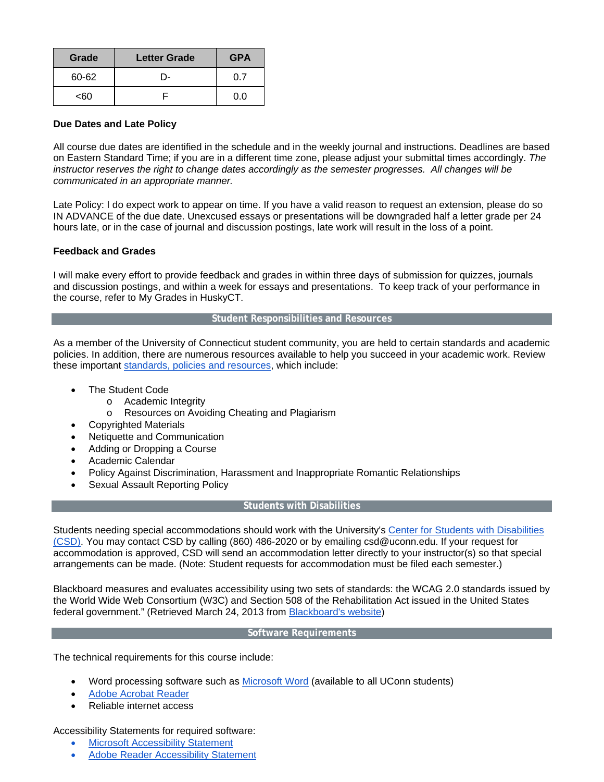| Grade | <b>Letter Grade</b> | <b>GPA</b> |
|-------|---------------------|------------|
| 60-62 | - 1                 | N 7        |
| -คก   |                     | ገ በ        |

# **Due Dates and Late Policy**

All course due dates are identified in the schedule and in the weekly journal and instructions. Deadlines are based on Eastern Standard Time; if you are in a different time zone, please adjust your submittal times accordingly. *The instructor reserves the right to change dates accordingly as the semester progresses. All changes will be communicated in an appropriate manner.*

Late Policy: I do expect work to appear on time. If you have a valid reason to request an extension, please do so IN ADVANCE of the due date. Unexcused essays or presentations will be downgraded half a letter grade per 24 hours late, or in the case of journal and discussion postings, late work will result in the loss of a point.

# **Feedback and Grades**

I will make every effort to provide feedback and grades in within three days of submission for quizzes, journals and discussion postings, and within a week for essays and presentations. To keep track of your performance in the course, refer to My Grades in HuskyCT.

#### **Student Responsibilities and Resources**

As a member of the University of Connecticut student community, you are held to certain standards and academic policies. In addition, there are numerous resources available to help you succeed in your academic work. Review these important standards, policies and resources, which include:

- The Student Code
	- o Academic Integrity
	- o Resources on Avoiding Cheating and Plagiarism
- Copyrighted Materials
- Netiquette and Communication
- Adding or Dropping a Course
- Academic Calendar
- Policy Against Discrimination, Harassment and Inappropriate Romantic Relationships
- Sexual Assault Reporting Policy

# **Students with Disabilities**

Students needing special accommodations should work with the University's Center for Students with Disabilities (CSD). You may contact CSD by calling (860) 486-2020 or by emailing csd@uconn.edu. If your request for accommodation is approved, CSD will send an accommodation letter directly to your instructor(s) so that special arrangements can be made. (Note: Student requests for accommodation must be filed each semester.)

Blackboard measures and evaluates accessibility using two sets of standards: the WCAG 2.0 standards issued by the World Wide Web Consortium (W3C) and Section 508 of the Rehabilitation Act issued in the United States federal government." (Retrieved March 24, 2013 from Blackboard's website)

# **Software Requirements**

The technical requirements for this course include:

- Word processing software such as **Microsoft Word** (available to all UConn students)
- Adobe Acrobat Reader
- Reliable internet access

Accessibility Statements for required software:

- Microsoft Accessibility Statement
- Adobe Reader Accessibility Statement